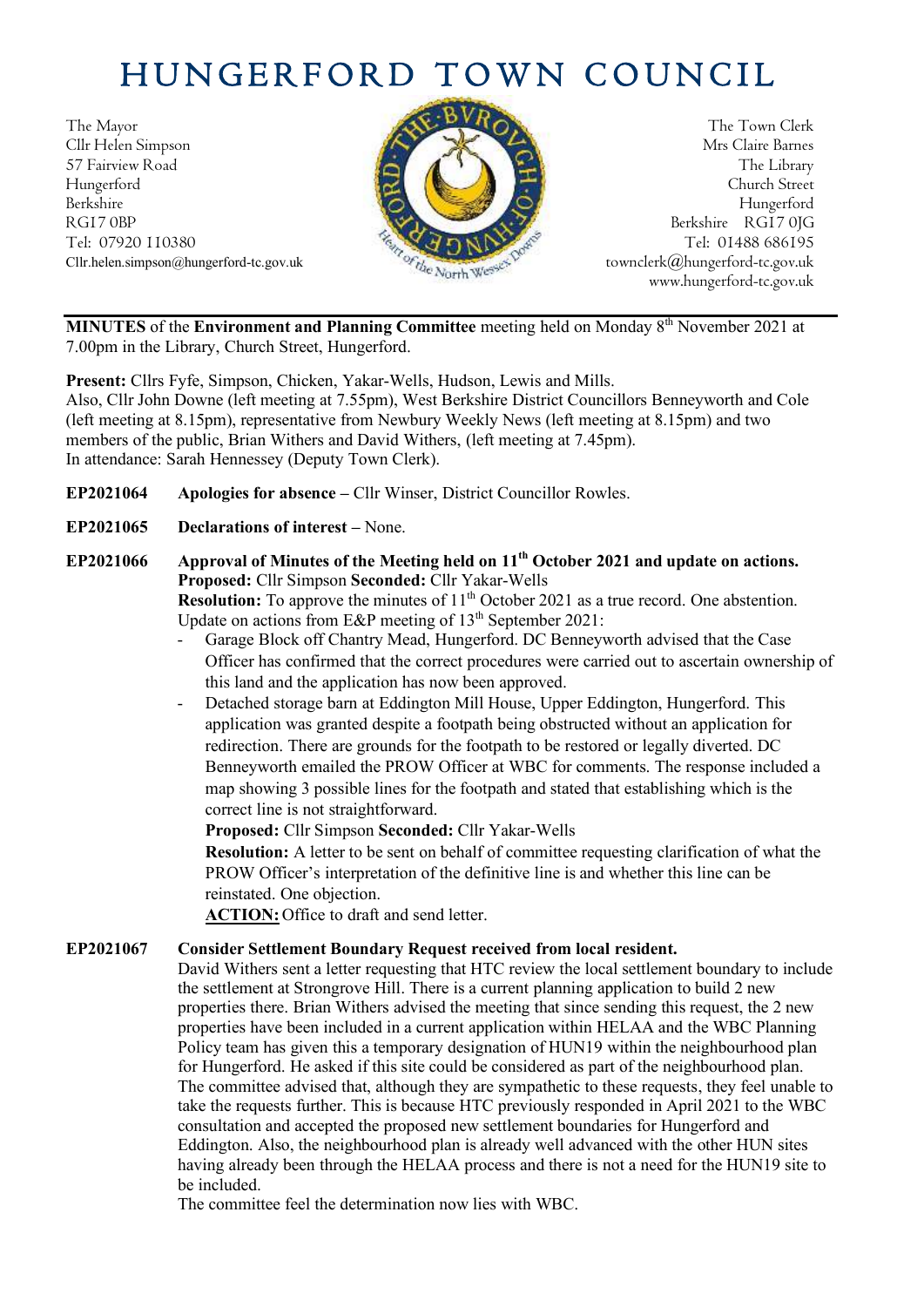# HUNGERFORD TOWN COUNCIL

The Mayor The Town Clerk Cllr Helen Simpson Mrs Claire Barnes 57 Fairview Road The Library **The Library** The Library Hungerford Church Street Berkshire Hungerford RG17 0BP Berkshire RG17 0JG Tel: 07920 110380 Tel: 07920 110380



Cllr.helen.simpson@hungerford-tc.gov.uk [townclerk@hungerford-tc.gov.uk](mailto:townclerk@hungerford-tc.gov.uk) townclerk@hungerford-tc.gov.uk www.hungerford-tc.gov.uk

MINUTES of the Environment and Planning Committee meeting held on Monday 8<sup>th</sup> November 2021 at 7.00pm in the Library, Church Street, Hungerford.

**Present:** Cllrs Fyfe, Simpson, Chicken, Yakar-Wells, Hudson, Lewis and Mills. Also, Cllr John Downe (left meeting at 7.55pm), West Berkshire District Councillors Benneyworth and Cole (left meeting at 8.15pm), representative from Newbury Weekly News (left meeting at 8.15pm) and two members of the public, Brian Withers and David Withers, (left meeting at 7.45pm). In attendance: Sarah Hennessey (Deputy Town Clerk).

- **EP2021064 Apologies for absence –** Cllr Winser, District Councillor Rowles.
- **EP2021065 Declarations of interest –** None.
- **EP2021066 Approval of Minutes of the Meeting held on 11th October 2021 and update on actions. Proposed:** Cllr Simpson **Seconded:** Cllr Yakar-Wells **Resolution:** To approve the minutes of 11<sup>th</sup> October 2021 as a true record. One abstention. Update on actions from E&P meeting of  $13<sup>th</sup>$  September 2021:
	- Garage Block off Chantry Mead, Hungerford. DC Benneyworth advised that the Case Officer has confirmed that the correct procedures were carried out to ascertain ownership of this land and the application has now been approved.
	- Detached storage barn at Eddington Mill House, Upper Eddington, Hungerford. This application was granted despite a footpath being obstructed without an application for redirection. There are grounds for the footpath to be restored or legally diverted. DC Benneyworth emailed the PROW Officer at WBC for comments. The response included a map showing 3 possible lines for the footpath and stated that establishing which is the correct line is not straightforward.

**Proposed:** Cllr Simpson **Seconded:** Cllr Yakar-Wells

**Resolution:** A letter to be sent on behalf of committee requesting clarification of what the PROW Officer's interpretation of the definitive line is and whether this line can be reinstated. One objection.

**ACTION:** Office to draft and send letter.

#### **EP2021067 Consider Settlement Boundary Request received from local resident.**

David Withers sent a letter requesting that HTC review the local settlement boundary to include the settlement at Strongrove Hill. There is a current planning application to build 2 new properties there. Brian Withers advised the meeting that since sending this request, the 2 new properties have been included in a current application within HELAA and the WBC Planning Policy team has given this a temporary designation of HUN19 within the neighbourhood plan for Hungerford. He asked if this site could be considered as part of the neighbourhood plan. The committee advised that, although they are sympathetic to these requests, they feel unable to take the requests further. This is because HTC previously responded in April 2021 to the WBC consultation and accepted the proposed new settlement boundaries for Hungerford and Eddington. Also, the neighbourhood plan is already well advanced with the other HUN sites having already been through the HELAA process and there is not a need for the HUN19 site to be included.

The committee feel the determination now lies with WBC.